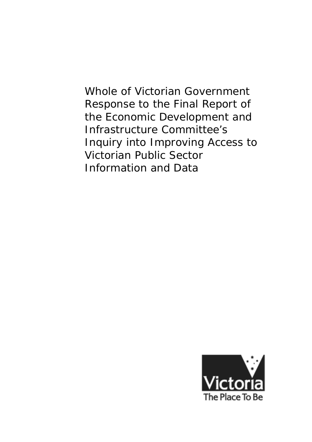Whole of Victorian Government Response to the Final Report of the Economic Development and Infrastructure Committee's Inquiry into Improving Access to Victorian Public Sector Information and Data

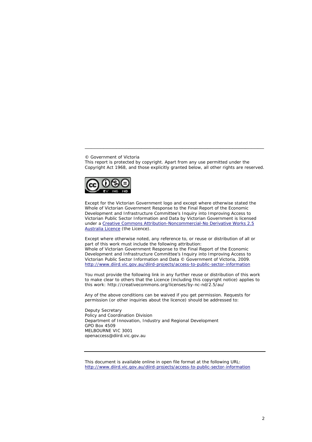© Government of Victoria

This report is protected by copyright. Apart from any use permitted under the *Copyright Act 1968*, and those explicitly granted below, all other rights are reserved.

\_\_\_\_\_\_\_\_\_\_\_\_\_\_\_\_\_\_\_\_\_\_\_\_\_\_\_\_\_\_\_\_\_\_\_\_\_\_\_\_\_\_\_\_\_\_\_\_\_\_\_\_\_\_\_\_\_



Except for the Victorian Government logo and except where otherwise stated the Whole of Victorian Government Response to the Final Report of the Economic Development and Infrastructure Committee's Inquiry into Improving Access to Victorian Public Sector Information and Data by Victorian Government is licensed under a [Creative Commons Attribution-Noncommercial-No Derivative Works 2.5](http://creativecommons.org/licenses/by-nc-nd/2.5/au/)  [Australia Licence](http://creativecommons.org/licenses/by-nc-nd/2.5/au/) (the Licence).

Except where otherwise noted, any reference to, or reuse or distribution of all or part of this work must include the following attribution: Whole of Victorian Government Response to the Final Report of the Economic Development and Infrastructure Committee's Inquiry into Improving Access to Victorian Public Sector Information and Data © Government of Victoria, 2009. <http://www.diird.vic.gov.au/diird-projects/access-to-public-sector-information>

You must provide the following link in any further reuse or distribution of this work to make clear to others that the Licence (including this copyright notice) applies to this work: http://creativecommons.org/licenses/by-nc-nd/2.5/au/

Any of the above conditions can be waived if you get permission. Requests for permission (or other inquiries about the licence) should be addressed to:

Deputy Secretary Policy and Coordination Division Department of Innovation, Industry and Regional Development GPO Box 4509 MELBOURNE VIC 3001 openaccess@diird.vic.gov.au

This document is available online in open file format at the following URL: <http://www.diird.vic.gov.au/diird-projects/access-to-public-sector-information>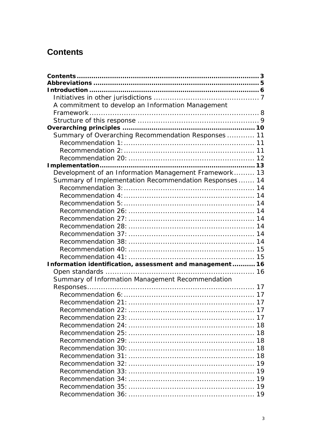# <span id="page-2-0"></span>**Contents**

| A commitment to develop an Information Management        |  |
|----------------------------------------------------------|--|
|                                                          |  |
|                                                          |  |
|                                                          |  |
| Summary of Overarching Recommendation Responses  11      |  |
|                                                          |  |
|                                                          |  |
|                                                          |  |
|                                                          |  |
| Development of an Information Management Framework 13    |  |
| Summary of Implementation Recommendation Responses 14    |  |
|                                                          |  |
|                                                          |  |
|                                                          |  |
|                                                          |  |
|                                                          |  |
|                                                          |  |
|                                                          |  |
|                                                          |  |
|                                                          |  |
|                                                          |  |
| Information identification, assessment and management 16 |  |
|                                                          |  |
| Summary of Information Management Recommendation         |  |
|                                                          |  |
|                                                          |  |
|                                                          |  |
|                                                          |  |
|                                                          |  |
|                                                          |  |
|                                                          |  |
|                                                          |  |
|                                                          |  |
|                                                          |  |
|                                                          |  |
|                                                          |  |
|                                                          |  |
|                                                          |  |
|                                                          |  |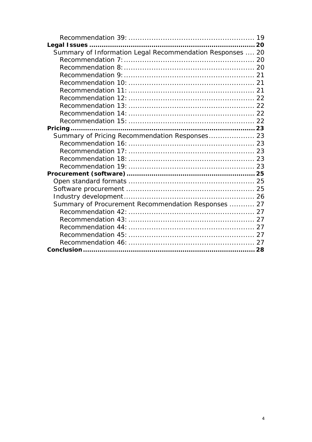| Summary of Information Legal Recommendation Responses  20 |  |
|-----------------------------------------------------------|--|
|                                                           |  |
|                                                           |  |
|                                                           |  |
|                                                           |  |
|                                                           |  |
|                                                           |  |
|                                                           |  |
|                                                           |  |
|                                                           |  |
|                                                           |  |
| Summary of Pricing Recommendation Responses 23            |  |
|                                                           |  |
|                                                           |  |
|                                                           |  |
|                                                           |  |
|                                                           |  |
|                                                           |  |
|                                                           |  |
|                                                           |  |
| Summary of Procurement Recommendation Responses  27       |  |
|                                                           |  |
|                                                           |  |
|                                                           |  |
|                                                           |  |
|                                                           |  |
|                                                           |  |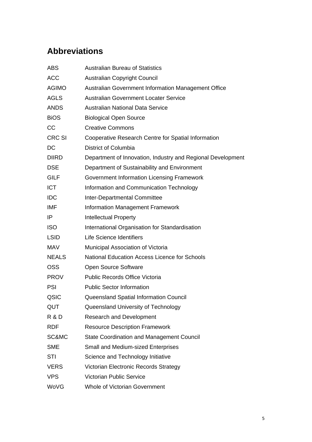# <span id="page-4-0"></span>**Abbreviations**

| <b>ABS</b>    | <b>Australian Bureau of Statistics</b>                      |
|---------------|-------------------------------------------------------------|
| <b>ACC</b>    | <b>Australian Copyright Council</b>                         |
| <b>AGIMO</b>  | Australian Government Information Management Office         |
| <b>AGLS</b>   | <b>Australian Government Locater Service</b>                |
| <b>ANDS</b>   | <b>Australian National Data Service</b>                     |
| <b>BiOS</b>   | <b>Biological Open Source</b>                               |
| CC            | <b>Creative Commons</b>                                     |
| <b>CRC SI</b> | Cooperative Research Centre for Spatial Information         |
| DC            | District of Columbia                                        |
| <b>DIIRD</b>  | Department of Innovation, Industry and Regional Development |
| <b>DSE</b>    | Department of Sustainability and Environment                |
| <b>GILF</b>   | Government Information Licensing Framework                  |
| <b>ICT</b>    | Information and Communication Technology                    |
| <b>IDC</b>    | Inter-Departmental Committee                                |
| <b>IMF</b>    | <b>Information Management Framework</b>                     |
| ΙP            | <b>Intellectual Property</b>                                |
| <b>ISO</b>    | International Organisation for Standardisation              |
| <b>LSID</b>   | <b>Life Science Identifiers</b>                             |
| <b>MAV</b>    | Municipal Association of Victoria                           |
| <b>NEALS</b>  | <b>National Education Access Licence for Schools</b>        |
| <b>OSS</b>    | Open Source Software                                        |
| <b>PROV</b>   | <b>Public Records Office Victoria</b>                       |
| PSI           | <b>Public Sector Information</b>                            |
| QSIC          | Queensland Spatial Information Council                      |
| QUT           | Queensland University of Technology                         |
| R & D         | <b>Research and Development</b>                             |
| <b>RDF</b>    | <b>Resource Description Framework</b>                       |
| SC&MC         | <b>State Coordination and Management Council</b>            |
| <b>SME</b>    | <b>Small and Medium-sized Enterprises</b>                   |
| STI           | Science and Technology Initiative                           |
| <b>VERS</b>   | Victorian Electronic Records Strategy                       |
| <b>VPS</b>    | <b>Victorian Public Service</b>                             |
| WoVG          | <b>Whole of Victorian Government</b>                        |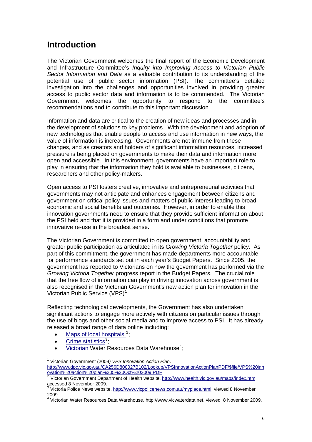## <span id="page-5-0"></span>**Introduction**

The Victorian Government welcomes the final report of the Economic Development and Infrastructure Committee's *Inquiry into Improving Access to Victorian Public Sector Information and Data* as a valuable contribution to its understanding of the potential use of public sector information (PSI). The committee's detailed investigation into the challenges and opportunities involved in providing greater access to public sector data and information is to be commended. The Victorian Government welcomes the opportunity to respond to the committee's recommendations and to contribute to this important discussion.

Information and data are critical to the creation of new ideas and processes and in the development of solutions to key problems. With the development and adoption of new technologies that enable people to access and use information in new ways, the value of information is increasing. Governments are not immune from these changes, and as creators and holders of significant information resources, increased pressure is being placed on governments to make their data and information more open and accessible. In this environment, governments have an important role to play in ensuring that the information they hold is available to businesses, citizens, researchers and other policy-makers.

Open access to PSI fosters creative, innovative and entrepreneurial activities that governments may not anticipate and enhances engagement between citizens and government on critical policy issues and matters of public interest leading to broad economic and social benefits and outcomes. However, in order to enable this innovation governments need to ensure that they provide sufficient information about the PSI held and that it is provided in a form and under conditions that promote innovative re-use in the broadest sense.

The Victorian Government is committed to open government, accountability and greater public participation as articulated in its *Growing Victoria Together* policy. As part of this commitment, the government has made departments more accountable for performance standards set out in each year's Budget Papers. Since 2005, the government has reported to Victorians on how the government has performed via the *Growing Victoria Together* progress report in the Budget Papers. The crucial role that the free flow of information can play in driving innovation across government is also recognised in the Victorian Government's new action plan for innovation in the Victorian Public Service (VPS)<sup>[1](#page-5-1)</sup>.

Reflecting technological developments, the Government has also undertaken significant actions to engage more actively with citizens on particular issues through the use of blogs and other social media and to improve access to PSI. It has already released a broad range of data online including:

- [Maps of local hospitals](http://www.health.vic.gov.au/maps/index.htm)  $2$ ;
- [Crime statistics](http://www.vicpolicenews.com.au/myplace.html)<sup>[3](#page-5-3)</sup>;

1

• [Victorian](http://www.ourwater.vic.gov.au/monitoring/monthly/storage_levels) Water Resources Data Warehouse<sup>[4](#page-5-4)</sup>;

<span id="page-5-1"></span><sup>1</sup> Victorian Government (2009*) VPS Innovation Action Plan*. [http://www.dpc.vic.gov.au/CA256D800027B102/Lookup/VPSInnovationActionPlanPDF/\\$file/VPS%20inn](http://www.dpc.vic.gov.au/CA256D800027B102/Lookup/VPSInnovationActionPlanPDF/$file/VPS%20innovation%20action%20plan%205%20Oct%202009.PDF) [ovation%20action%20plan%205%20Oct%202009.PDF](http://www.dpc.vic.gov.au/CA256D800027B102/Lookup/VPSInnovationActionPlanPDF/$file/VPS%20innovation%20action%20plan%205%20Oct%202009.PDF)

<span id="page-5-2"></span><sup>&</sup>lt;sup>2</sup> Victorian Government Department of Health website,<http://www.health.vic.gov.au/maps/index.htm> accessed 8 November 2009.<br><sup>3</sup> Victoria Police Nave website

<span id="page-5-3"></span>Victoria Police News website, <http://www.vicpolicenews.com.au/myplace.html>, viewed 8 November 2009.

<span id="page-5-4"></span><sup>4</sup> Victorian Water Resources Data Warehouse, http://www.vicwaterdata.net, viewed 8 November 2009.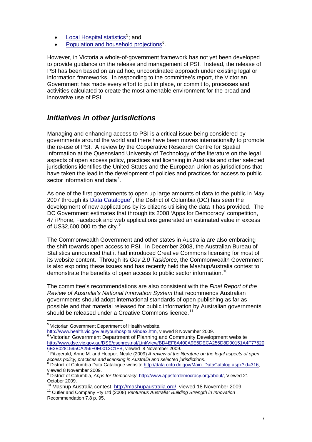- <span id="page-6-0"></span>• [Local Hospital statistics](http://www.health.vic.gov.au/yourhospitals/index.htm)<sup>[5](#page-6-1)</sup>; and
- [Population and household projections](http://www.dse.vic.gov.au/DSE/dsenres.nsf/LinkView/BD4EF8A400A9E6DECA256D8D00151A4F775206E3E0281595CA256F0E0013C1FB)<sup>[6](#page-6-2)</sup>.

However, in Victoria a whole-of-government framework has not yet been developed to provide guidance on the release and management of PSI. Instead, the release of PSI has been based on an ad hoc, uncoordinated approach under existing legal or information frameworks. In responding to the committee's report, the Victorian Government has made every effort to put in place, or commit to, processes and activities calculated to create the most amenable environment for the broad and innovative use of PSI.

## *Initiatives in other jurisdictions*

Managing and enhancing access to PSI is a critical issue being considered by governments around the world and there have been moves internationally to promote the re-use of PSI. A review by the Cooperative Research Centre for Spatial Information at the Queensland University of Technology of the literature on the legal aspects of open access policy, practices and licensing in Australia and other selected jurisdictions identifies the United States and the European Union as jurisdictions that have taken the lead in the development of policies and practices for access to public sector information and data<sup>[7](#page-6-3)</sup>.

As one of the first governments to open up large amounts of data to the public in May 2007 through its [Data Catalogue](http://data.octo.dc.gov/Main_DataCatalog.aspx?id=316)<sup>[8](#page-6-4)</sup>, the District of Columbia (DC) has seen the development of new applications by its citizens utilising the data it has provided. The DC Government estimates that through its 2008 'Apps for Democracy' competition, 47 iPhone, Facebook and web applications generated an estimated value in excess of US\$2,600,000 to the city.<sup>[9](#page-6-5)</sup>

The Commonwealth Government and other states in Australia are also embracing the shift towards open access to PSI. In December 2008, the Australian Bureau of Statistics announced that it had introduced Creative Commons licensing for most of its website content. Through its *Gov 2.0 Taskforce*, the Commonwealth Government is also exploring these issues and has recently held the MashupAustralia contest to demonstrate the benefits of open access to public sector information.<sup>[10](#page-6-6)</sup>

The committee's recommendations are also consistent with the *Final Report of the Review of Australia's National Innovation System* that recommends Australian governments should adopt international standards of open publishing as far as possible and that material released for public information by Australian governments should be released under a Creative Commons licence.<sup>[11](#page-6-7)</sup>

 5 Victorian Government Department of Health website,

<span id="page-6-2"></span><span id="page-6-1"></span><http://www.health.vic.gov.au/yourhospitals/index.htm>, viewed 8 November 2009.<br>
<sup>[6](http://www.health.vic.gov.au/yourhospitals/index.htm)</sup> Victorian Government Department of Planning and Community Development website [http://www.dse.vic.gov.au/DSE/dsenres.nsf/LinkView/BD4EF8A400A9E6DECA256D8D00151A4F77520](http://www.dse.vic.gov.au/DSE/dsenres.nsf/LinkView/BD4EF8A400A9E6DECA256D8D00151A4F775206E3E0281595CA256F0E0013C1FB) [6E3E0281595CA256F0E0013C1FB](http://www.dse.vic.gov.au/DSE/dsenres.nsf/LinkView/BD4EF8A400A9E6DECA256D8D00151A4F775206E3E0281595CA256F0E0013C1FB), viewed 8 November 2009. [7](http://www.dse.vic.gov.au/DSE/dsenres.nsf/LinkView/BD4EF8A400A9E6DECA256D8D00151A4F775206E3E0281595CA256F0E0013C1FB)

<span id="page-6-3"></span>Fitzgerald, Anne M. and Hooper, Neale (2009) *A review of the literature on the legal aspects of open access policy, practices and licensing in Australia and selected jurisdictions*. 8

<span id="page-6-4"></span><sup>8</sup> District of Columbia Data Catalogue website [http://data.octo.dc.gov/Main\\_DataCatalog.aspx?id=316,](http://data.octo.dc.gov/Main_DataCatalog.aspx?id=316) viewed 8 November 2009.

<span id="page-6-5"></span><sup>9</sup> District of Columbia, *Apps for Democracy*,<http://www.appsfordemocracy.org/about/>, Viewed 21 October 2009.

<span id="page-6-6"></span><sup>&</sup>lt;sup>10</sup> Mashup Australia contest, <http://mashupaustralia.org/>, viewed 18 November 2009<br><sup>11</sup> Cutler and Company Pty Ltd ([2008\)](http://mashupaustralia.org/) *Venturous Australia: Building Strength in Innovation* ,

<span id="page-6-7"></span>Recommendation 7.8 p. 95.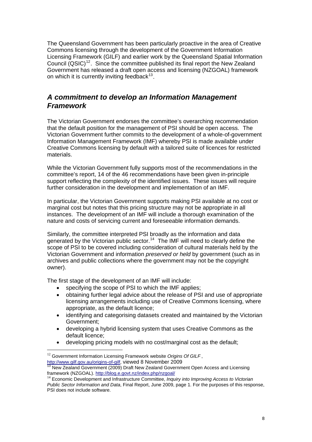<span id="page-7-0"></span>The Queensland Government has been particularly proactive in the area of Creative Commons licensing through the development of the Government Information Licensing Framework (GILF) and earlier work by the Queensland Spatial Information Council  $(QSIC)^{12}$  $(QSIC)^{12}$  $(QSIC)^{12}$ . Since the committee published its final report the New Zealand Government has released a draft open access and licensing (NZGOAL) framework on which it is currently inviting feedback $13$ .

### *A commitment to develop an Information Management Framework*

The Victorian Government endorses the committee's overarching recommendation that the default position for the management of PSI should be open access. The Victorian Government further commits to the development of a whole-of-government Information Management Framework (IMF) whereby PSI is made available under Creative Commons licensing by default with a tailored suite of licences for restricted materials.

While the Victorian Government fully supports most of the recommendations in the committee's report, 14 of the 46 recommendations have been given in-principle support reflecting the complexity of the identified issues. These issues will require further consideration in the development and implementation of an IMF.

In particular, the Victorian Government supports making PSI available at no cost or marginal cost but notes that this pricing structure may not be appropriate in all instances. The development of an IMF will include a thorough examination of the nature and costs of servicing current and foreseeable information demands.

Similarly, the committee interpreted PSI broadly as the information and data generated by the Victorian public sector.<sup>[14](#page-7-3)</sup> The IMF will need to clearly define the scope of PSI to be covered including consideration of cultural materials held by the Victorian Government and information *preserved or held* by government (such as in archives and public collections where the government may not be the copyright owner).

The first stage of the development of an IMF will include:

- specifying the scope of PSI to which the IMF applies:
- obtaining further legal advice about the release of PSI and use of appropriate licensing arrangements including use of Creative Commons licensing, where appropriate, as the default licence;
- identifying and categorising datasets created and maintained by the Victorian Government;
- developing a hybrid licensing system that uses Creative Commons as the default licence;
- developing pricing models with no cost/marginal cost as the default;

1

<span id="page-7-1"></span><sup>&</sup>lt;sup>12</sup> Government Information Licensing Framework website *Origins Of GILF*, http://www.gilf.gov.au/origins-of-gilf, viewed 8 November 2009

<span id="page-7-2"></span> $\frac{13}{13}$  New Zealand Government (2009) Draft New Zealand Government Open Access and Licensing framework (NZGOAL). http://blog.e.govt.nz/index.php/nzgoal/

<span id="page-7-3"></span>framework (NZGO). http://<del>index.php/nzgoal/ 14</del> Economic Development and Infrastructure Committee, *Inquiry into Improving Access to Victorian Public Sector Information and Data*, Final Report, June 2009, page 1. For the purposes of this response, PSI does not include software.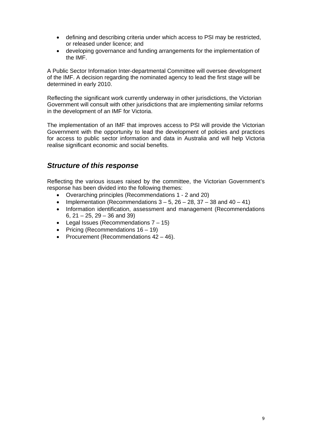- <span id="page-8-0"></span>• defining and describing criteria under which access to PSI may be restricted, or released under licence; and
- developing governance and funding arrangements for the implementation of the IMF.

A Public Sector Information Inter-departmental Committee will oversee development of the IMF. A decision regarding the nominated agency to lead the first stage will be determined in early 2010.

Reflecting the significant work currently underway in other jurisdictions, the Victorian Government will consult with other jurisdictions that are implementing similar reforms in the development of an IMF for Victoria.

The implementation of an IMF that improves access to PSI will provide the Victorian Government with the opportunity to lead the development of policies and practices for access to public sector information and data in Australia and will help Victoria realise significant economic and social benefits.

### *Structure of this response*

Reflecting the various issues raised by the committee, the Victorian Government's response has been divided into the following themes:

- Overarching principles (Recommendations 1 2 and 20)
- Implementation (Recommendations  $3 5$ ,  $26 28$ ,  $37 38$  and  $40 41$ )
- Information identification, assessment and management (Recommendations 6, 21 – 25, 29 – 36 and 39)
- Legal Issues (Recommendations 7 15)
- Pricing (Recommendations 16 19)
- Procurement (Recommendations 42 46).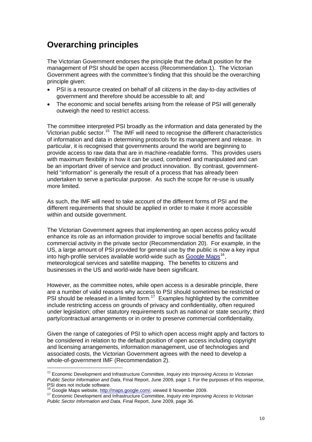## <span id="page-9-0"></span>**Overarching principles**

The Victorian Government endorses the principle that the default position for the management of PSI should be open access (Recommendation 1). The Victorian Government agrees with the committee's finding that this should be the overarching principle given:

- PSI is a resource created on behalf of all citizens in the day-to-day activities of government and therefore should be accessible to all; and
- The economic and social benefits arising from the release of PSI will generally outweigh the need to restrict access.

The committee interpreted PSI broadly as the information and data generated by the Victorian public sector.<sup>[15](#page-9-1)</sup> The IMF will need to recognise the different characteristics of information and data in determining protocols for its management and release. In particular, it is recognised that governments around the world are beginning to provide access to raw data that are in machine-readable forms. This provides users with maximum flexibility in how it can be used, combined and manipulated and can be an important driver of service and product innovation. By contrast, governmentheld "information" is generally the result of a process that has already been undertaken to serve a particular purpose. As such the scope for re-use is usually more limited.

As such, the IMF will need to take account of the different forms of PSI and the different requirements that should be applied in order to make it more accessible within and outside government.

The Victorian Government agrees that implementing an open access policy would enhance its role as an information provider to improve social benefits and facilitate commercial activity in the private sector (Recommendation 20). For example, in the US, a large amount of PSI provided for general use by the public is now a key input into high-profile services available world-wide such as [Google Maps](http://maps.google.com/)<sup>[16](#page-9-2)</sup>. meteorological services and satellite mapping. The benefits to citizens and businesses in the US and world-wide have been significant.

However, as the committee notes, while open access is a desirable principle, there are a number of valid reasons why access to PSI should sometimes be restricted or PSI should be released in a limited form.<sup>[17](#page-9-3)</sup> Examples highlighted by the committee include restricting access on grounds of privacy and confidentiality, often required under legislation; other statutory requirements such as national or state security; third party/contractual arrangements or in order to preserve commercial confidentiality.

Given the range of categories of PSI to which open access might apply and factors to be considered in relation to the default position of open access including copyright and licensing arrangements, information management, use of technologies and associated costs, the Victorian Government agrees with the need to develop a whole-of-government IMF (Recommendation 2).

1

<span id="page-9-1"></span><sup>15</sup> Economic Development and Infrastructure Committee, *Inquiry into Improving Access to Victorian Public Sector Information and Data*, Final Report, June 2009, page 1. For the purposes of this response, PSI does not include software.<br>PSI does not include software.<br><sup>16</sup> Google Maps website, http://maps.google.com/, viewed 8 November 2009.

<span id="page-9-3"></span><span id="page-9-2"></span><sup>&</sup>lt;sup>17</sup> Economic Development and Infrastructure Committee, *Inquiry into Improving Access to Victorian Public Sector Information and Data*, Final Report, June 2009, page 36.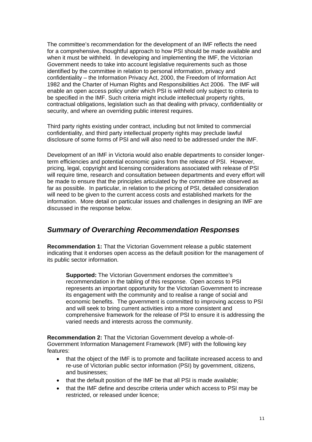<span id="page-10-0"></span>The committee's recommendation for the development of an IMF reflects the need for a comprehensive, thoughtful approach to how PSI should be made available and when it must be withheld. In developing and implementing the IMF, the Victorian Government needs to take into account legislative requirements such as those identified by the committee in relation to personal information, privacy and confidentiality – the Information Privacy Act, 2000, the Freedom of Information Act 1982 and the Charter of Human Rights and Responsibilities Act 2006. The IMF will enable an open access policy under which PSI is withheld only subject to criteria to be specified in the IMF. Such criteria might include intellectual property rights, contractual obligations, legislation such as that dealing with privacy, confidentiality or security, and where an overriding public interest requires.

Third party rights existing under contract, including but not limited to commercial confidentiality, and third party intellectual property rights may preclude lawful disclosure of some forms of PSI and will also need to be addressed under the IMF.

Development of an IMF in Victoria would also enable departments to consider longerterm efficiencies and potential economic gains from the release of PSI. However, pricing, legal, copyright and licensing considerations associated with release of PSI will require time, research and consultation between departments and every effort will be made to ensure that the principles articulated by the committee are observed as far as possible. In particular, in relation to the pricing of PSI, detailed consideration will need to be given to the current access costs and established markets for the information. More detail on particular issues and challenges in designing an IMF are discussed in the response below.

### *Summary of Overarching Recommendation Responses*

**Recommendation 1:** That the Victorian Government release a public statement indicating that it endorses open access as the default position for the management of its public sector information.

**Supported:** The Victorian Government endorses the committee's recommendation in the tabling of this response. Open access to PSI represents an important opportunity for the Victorian Government to increase its engagement with the community and to realise a range of social and economic benefits. The government is committed to improving access to PSI and will seek to bring current activities into a more consistent and comprehensive framework for the release of PSI to ensure it is addressing the varied needs and interests across the community.

**Recommendation 2:** That the Victorian Government develop a whole-of-Government Information Management Framework (IMF) with the following key features:

- that the object of the IMF is to promote and facilitate increased access to and re-use of Victorian public sector information (PSI) by government, citizens, and businesses;
- that the default position of the IMF be that all PSI is made available;
- that the IMF define and describe criteria under which access to PSI may be restricted, or released under licence;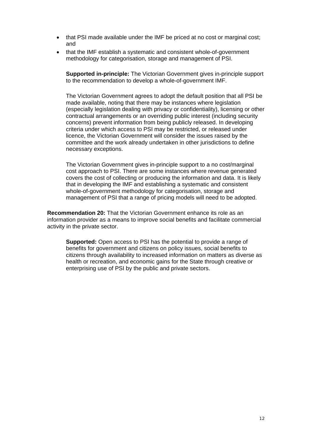- <span id="page-11-0"></span>• that PSI made available under the IMF be priced at no cost or marginal cost; and
- that the IMF establish a systematic and consistent whole-of-government methodology for categorisation, storage and management of PSI.

**Supported in-principle:** The Victorian Government gives in-principle support to the recommendation to develop a whole-of-government IMF.

The Victorian Government agrees to adopt the default position that all PSI be made available, noting that there may be instances where legislation (especially legislation dealing with privacy or confidentiality), licensing or other contractual arrangements or an overriding public interest (including security concerns) prevent information from being publicly released. In developing criteria under which access to PSI may be restricted, or released under licence, the Victorian Government will consider the issues raised by the committee and the work already undertaken in other jurisdictions to define necessary exceptions.

The Victorian Government gives in-principle support to a no cost/marginal cost approach to PSI. There are some instances where revenue generated covers the cost of collecting or producing the information and data. It is likely that in developing the IMF and establishing a systematic and consistent whole-of-government methodology for categorisation, storage and management of PSI that a range of pricing models will need to be adopted.

**Recommendation 20:** That the Victorian Government enhance its role as an information provider as a means to improve social benefits and facilitate commercial activity in the private sector.

**Supported:** Open access to PSI has the potential to provide a range of benefits for government and citizens on policy issues, social benefits to citizens through availability to increased information on matters as diverse as health or recreation, and economic gains for the State through creative or enterprising use of PSI by the public and private sectors.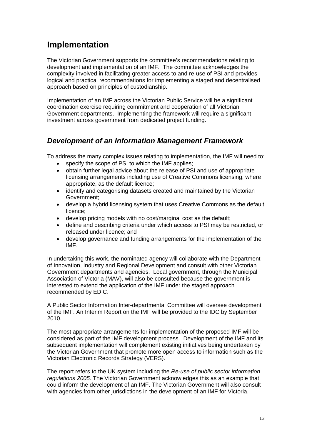## <span id="page-12-0"></span>**Implementation**

The Victorian Government supports the committee's recommendations relating to development and implementation of an IMF. The committee acknowledges the complexity involved in facilitating greater access to and re-use of PSI and provides logical and practical recommendations for implementing a staged and decentralised approach based on principles of custodianship.

Implementation of an IMF across the Victorian Public Service will be a significant coordination exercise requiring commitment and cooperation of all Victorian Government departments. Implementing the framework will require a significant investment across government from dedicated project funding.

## *Development of an Information Management Framework*

To address the many complex issues relating to implementation, the IMF will need to:

- specify the scope of PSI to which the IMF applies:
- obtain further legal advice about the release of PSI and use of appropriate licensing arrangements including use of Creative Commons licensing, where appropriate, as the default licence;
- identify and categorising datasets created and maintained by the Victorian Government;
- develop a hybrid licensing system that uses Creative Commons as the default licence;
- develop pricing models with no cost/marginal cost as the default;
- define and describing criteria under which access to PSI may be restricted, or released under licence; and
- develop governance and funding arrangements for the implementation of the IMF.

In undertaking this work, the nominated agency will collaborate with the Department of Innovation, Industry and Regional Development and consult with other Victorian Government departments and agencies. Local government, through the Municipal Association of Victoria (MAV), will also be consulted because the government is interested to extend the application of the IMF under the staged approach recommended by EDIC.

A Public Sector Information Inter-departmental Committee will oversee development of the IMF. An Interim Report on the IMF will be provided to the IDC by September 2010.

The most appropriate arrangements for implementation of the proposed IMF will be considered as part of the IMF development process. Development of the IMF and its subsequent implementation will complement existing initiatives being undertaken by the Victorian Government that promote more open access to information such as the Victorian Electronic Records Strategy (VERS).

The report refers to the UK system including the *Re-use of public sector information regulations 2005.* The Victorian Government acknowledges this as an example that could inform the development of an IMF. The Victorian Government will also consult with agencies from other jurisdictions in the development of an IMF for Victoria.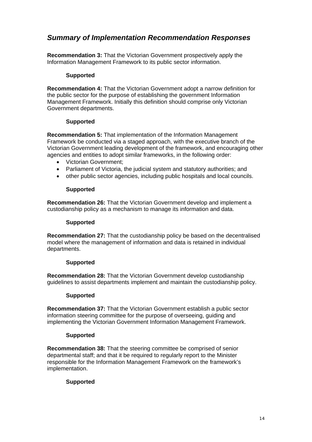## <span id="page-13-0"></span>*Summary of Implementation Recommendation Responses*

**Recommendation 3:** That the Victorian Government prospectively apply the Information Management Framework to its public sector information.

#### **Supported**

**Recommendation 4:** That the Victorian Government adopt a narrow definition for the public sector for the purpose of establishing the government Information Management Framework. Initially this definition should comprise only Victorian Government departments.

#### **Supported**

**Recommendation 5:** That implementation of the Information Management Framework be conducted via a staged approach, with the executive branch of the Victorian Government leading development of the framework, and encouraging other agencies and entities to adopt similar frameworks, in the following order:

- Victorian Government;
- Parliament of Victoria, the judicial system and statutory authorities; and
- other public sector agencies, including public hospitals and local councils.

#### **Supported**

**Recommendation 26:** That the Victorian Government develop and implement a custodianship policy as a mechanism to manage its information and data.

#### **Supported**

**Recommendation 27:** That the custodianship policy be based on the decentralised model where the management of information and data is retained in individual departments.

#### **Supported**

**Recommendation 28:** That the Victorian Government develop custodianship guidelines to assist departments implement and maintain the custodianship policy.

#### **Supported**

**Recommendation 37:** That the Victorian Government establish a public sector information steering committee for the purpose of overseeing, guiding and implementing the Victorian Government Information Management Framework.

#### **Supported**

**Recommendation 38:** That the steering committee be comprised of senior departmental staff; and that it be required to regularly report to the Minister responsible for the Information Management Framework on the framework's implementation.

#### **Supported**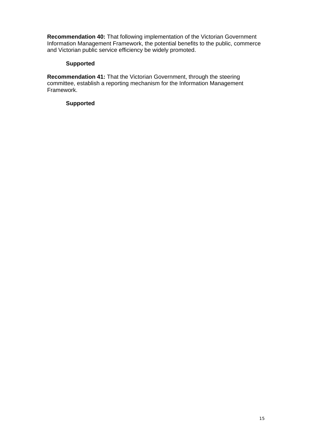<span id="page-14-0"></span>**Recommendation 40:** That following implementation of the Victorian Government Information Management Framework, the potential benefits to the public, commerce and Victorian public service efficiency be widely promoted.

#### **Supported**

**Recommendation 41:** That the Victorian Government, through the steering committee, establish a reporting mechanism for the Information Management Framework.

#### **Supported**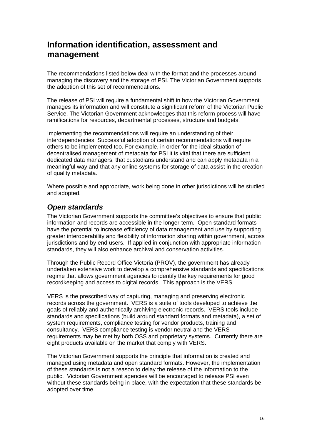## <span id="page-15-0"></span>**Information identification, assessment and management**

The recommendations listed below deal with the format and the processes around managing the discovery and the storage of PSI. The Victorian Government supports the adoption of this set of recommendations.

The release of PSI will require a fundamental shift in how the Victorian Government manages its information and will constitute a significant reform of the Victorian Public Service. The Victorian Government acknowledges that this reform process will have ramifications for resources, departmental processes, structure and budgets.

Implementing the recommendations will require an understanding of their interdependencies. Successful adoption of certain recommendations will require others to be implemented too. For example, in order for the ideal situation of decentralised management of metadata for PSI it is vital that there are sufficient dedicated data managers, that custodians understand and can apply metadata in a meaningful way and that any online systems for storage of data assist in the creation of quality metadata.

Where possible and appropriate, work being done in other jurisdictions will be studied and adopted.

## *Open standards*

The Victorian Government supports the committee's objectives to ensure that public information and records are accessible in the longer-term. Open standard formats have the potential to increase efficiency of data management and use by supporting greater interoperability and flexibility of information sharing within government, across jurisdictions and by end users. If applied in conjunction with appropriate information standards, they will also enhance archival and conservation activities.

Through the Public Record Office Victoria (PROV), the government has already undertaken extensive work to develop a comprehensive standards and specifications regime that allows government agencies to identify the key requirements for good recordkeeping and access to digital records. This approach is the VERS.

VERS is the prescribed way of capturing, managing and preserving electronic records across the government. VERS is a suite of tools developed to achieve the goals of reliably and authentically archiving electronic records. VERS tools include standards and specifications (build around standard formats and metadata), a set of system requirements, compliance testing for vendor products, training and consultancy. VERS compliance testing is vendor neutral and the VERS requirements may be met by both OSS and proprietary systems. Currently there are eight products available on the market that comply with VERS.

The Victorian Government supports the principle that information is created and managed using metadata and open standard formats. However, the implementation of these standards is not a reason to delay the release of the information to the public. Victorian Government agencies will be encouraged to release PSI even without these standards being in place, with the expectation that these standards be adopted over time.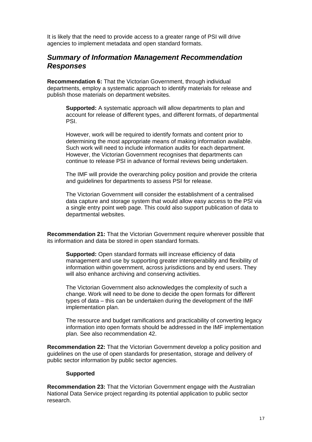<span id="page-16-0"></span>It is likely that the need to provide access to a greater range of PSI will drive agencies to implement metadata and open standard formats.

### *Summary of Information Management Recommendation Responses*

**Recommendation 6:** That the Victorian Government, through individual departments, employ a systematic approach to identify materials for release and publish those materials on department websites.

**Supported:** A systematic approach will allow departments to plan and account for release of different types, and different formats, of departmental PSI.

However, work will be required to identify formats and content prior to determining the most appropriate means of making information available. Such work will need to include information audits for each department. However, the Victorian Government recognises that departments can continue to release PSI in advance of formal reviews being undertaken.

The IMF will provide the overarching policy position and provide the criteria and guidelines for departments to assess PSI for release.

The Victorian Government will consider the establishment of a centralised data capture and storage system that would allow easy access to the PSI via a single entry point web page. This could also support publication of data to departmental websites.

**Recommendation 21:** That the Victorian Government require wherever possible that its information and data be stored in open standard formats.

**Supported:** Open standard formats will increase efficiency of data management and use by supporting greater interoperability and flexibility of information within government, across jurisdictions and by end users. They will also enhance archiving and conserving activities.

The Victorian Government also acknowledges the complexity of such a change. Work will need to be done to decide the open formats for different types of data – this can be undertaken during the development of the IMF implementation plan.

The resource and budget ramifications and practicability of converting legacy information into open formats should be addressed in the IMF implementation plan. See also recommendation 42.

**Recommendation 22:** That the Victorian Government develop a policy position and guidelines on the use of open standards for presentation, storage and delivery of public sector information by public sector agencies.

#### **Supported**

**Recommendation 23:** That the Victorian Government engage with the Australian National Data Service project regarding its potential application to public sector research.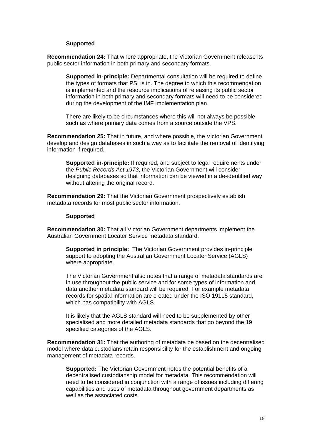#### **Supported**

<span id="page-17-0"></span>**Recommendation 24:** That where appropriate, the Victorian Government release its public sector information in both primary and secondary formats.

**Supported in-principle:** Departmental consultation will be required to define the types of formats that PSI is in. The degree to which this recommendation is implemented and the resource implications of releasing its public sector information in both primary and secondary formats will need to be considered during the development of the IMF implementation plan.

There are likely to be circumstances where this will not always be possible such as where primary data comes from a source outside the VPS.

**Recommendation 25:** That in future, and where possible, the Victorian Government develop and design databases in such a way as to facilitate the removal of identifying information if required.

**Supported in-principle:** If required, and subject to legal requirements under the *Public Records Act 1973*, the Victorian Government will consider designing databases so that information can be viewed in a de-identified way without altering the original record.

**Recommendation 29:** That the Victorian Government prospectively establish metadata records for most public sector information.

#### **Supported**

**Recommendation 30:** That all Victorian Government departments implement the Australian Government Locater Service metadata standard.

**Supported in principle:** The Victorian Government provides in-principle support to adopting the Australian Government Locater Service (AGLS) where appropriate.

The Victorian Government also notes that a range of metadata standards are in use throughout the public service and for some types of information and data another metadata standard will be required. For example metadata records for spatial information are created under the ISO 19115 standard, which has compatibility with AGLS.

It is likely that the AGLS standard will need to be supplemented by other specialised and more detailed metadata standards that go beyond the 19 specified categories of the AGLS.

**Recommendation 31:** That the authoring of metadata be based on the decentralised model where data custodians retain responsibility for the establishment and ongoing management of metadata records.

**Supported:** The Victorian Government notes the potential benefits of a decentralised custodianship model for metadata. This recommendation will need to be considered in conjunction with a range of issues including differing capabilities and uses of metadata throughout government departments as well as the associated costs.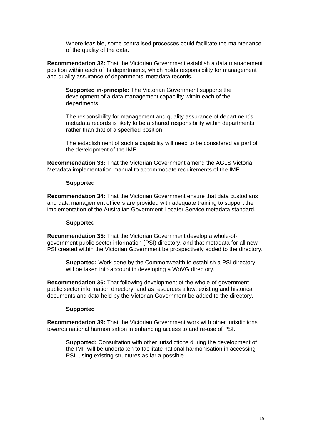Where feasible, some centralised processes could facilitate the maintenance of the quality of the data.

<span id="page-18-0"></span>**Recommendation 32:** That the Victorian Government establish a data management position within each of its departments, which holds responsibility for management and quality assurance of departments' metadata records.

**Supported in-principle:** The Victorian Government supports the development of a data management capability within each of the departments.

The responsibility for management and quality assurance of department's metadata records is likely to be a shared responsibility within departments rather than that of a specified position.

The establishment of such a capability will need to be considered as part of the development of the IMF.

**Recommendation 33:** That the Victorian Government amend the AGLS Victoria: Metadata implementation manual to accommodate requirements of the IMF.

#### **Supported**

**Recommendation 34:** That the Victorian Government ensure that data custodians and data management officers are provided with adequate training to support the implementation of the Australian Government Locater Service metadata standard.

#### **Supported**

**Recommendation 35:** That the Victorian Government develop a whole-ofgovernment public sector information (PSI) directory, and that metadata for all new PSI created within the Victorian Government be prospectively added to the directory.

**Supported:** Work done by the Commonwealth to establish a PSI directory will be taken into account in developing a WoVG directory.

**Recommendation 36:** That following development of the whole-of-government public sector information directory, and as resources allow, existing and historical documents and data held by the Victorian Government be added to the directory.

#### **Supported**

**Recommendation 39:** That the Victorian Government work with other jurisdictions towards national harmonisation in enhancing access to and re-use of PSI.

**Supported:** Consultation with other jurisdictions during the development of the IMF will be undertaken to facilitate national harmonisation in accessing PSI, using existing structures as far a possible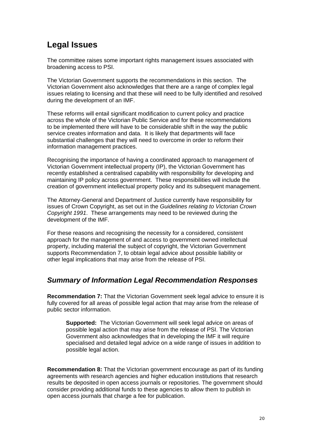## <span id="page-19-0"></span>**Legal Issues**

The committee raises some important rights management issues associated with broadening access to PSI.

The Victorian Government supports the recommendations in this section. The Victorian Government also acknowledges that there are a range of complex legal issues relating to licensing and that these will need to be fully identified and resolved during the development of an IMF.

These reforms will entail significant modification to current policy and practice across the whole of the Victorian Public Service and for these recommendations to be implemented there will have to be considerable shift in the way the public service creates information and data. It is likely that departments will face substantial challenges that they will need to overcome in order to reform their information management practices.

Recognising the importance of having a coordinated approach to management of Victorian Government intellectual property (IP), the Victorian Government has recently established a centralised capability with responsibility for developing and maintaining IP policy across government. These responsibilities will include the creation of government intellectual property policy and its subsequent management.

The Attorney-General and Department of Justice currently have responsibility for issues of Crown Copyright, as set out in the *Guidelines relating to Victorian Crown Copyright 1991*. These arrangements may need to be reviewed during the development of the IMF.

For these reasons and recognising the necessity for a considered, consistent approach for the management of and access to government owned intellectual property, including material the subject of copyright, the Victorian Government supports Recommendation 7, to obtain legal advice about possible liability or other legal implications that may arise from the release of PSI.

### *Summary of Information Legal Recommendation Responses*

**Recommendation 7:** That the Victorian Government seek legal advice to ensure it is fully covered for all areas of possible legal action that may arise from the release of public sector information.

**Supported:** The Victorian Government will seek legal advice on areas of possible legal action that may arise from the release of PSI. The Victorian Government also acknowledges that in developing the IMF it will require specialised and detailed legal advice on a wide range of issues in addition to possible legal action.

**Recommendation 8:** That the Victorian government encourage as part of its funding agreements with research agencies and higher education institutions that research results be deposited in open access journals or repositories. The government should consider providing additional funds to these agencies to allow them to publish in open access journals that charge a fee for publication.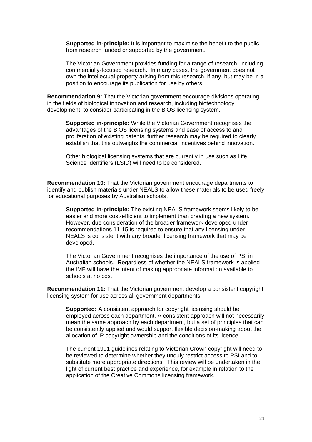<span id="page-20-0"></span>**Supported in-principle:** It is important to maximise the benefit to the public from research funded or supported by the government.

The Victorian Government provides funding for a range of research, including commercially-focused research. In many cases, the government does not own the intellectual property arising from this research, if any, but may be in a position to encourage its publication for use by others.

**Recommendation 9:** That the Victorian government encourage divisions operating in the fields of biological innovation and research, including biotechnology development, to consider participating in the BiOS licensing system.

**Supported in-principle:** While the Victorian Government recognises the advantages of the BiOS licensing systems and ease of access to and proliferation of existing patents, further research may be required to clearly establish that this outweighs the commercial incentives behind innovation.

Other biological licensing systems that are currently in use such as Life Science Identifiers (LSID) will need to be considered.

**Recommendation 10:** That the Victorian government encourage departments to identify and publish materials under NEALS to allow these materials to be used freely for educational purposes by Australian schools.

**Supported in-principle:** The existing NEALS framework seems likely to be easier and more cost-efficient to implement than creating a new system. However, due consideration of the broader framework developed under recommendations 11-15 is required to ensure that any licensing under NEALS is consistent with any broader licensing framework that may be developed.

The Victorian Government recognises the importance of the use of PSI in Australian schools. Regardless of whether the NEALS framework is applied the IMF will have the intent of making appropriate information available to schools at no cost.

**Recommendation 11:** That the Victorian government develop a consistent copyright licensing system for use across all government departments.

**Supported:** A consistent approach for copyright licensing should be employed across each department. A consistent approach will not necessarily mean the same approach by each department, but a set of principles that can be consistently applied and would support flexible decision-making about the allocation of IP copyright ownership and the conditions of its licence.

The current 1991 guidelines relating to Victorian Crown copyright will need to be reviewed to determine whether they unduly restrict access to PSI and to substitute more appropriate directions. This review will be undertaken in the light of current best practice and experience, for example in relation to the application of the Creative Commons licensing framework.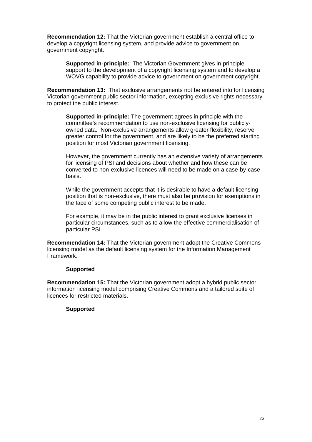<span id="page-21-0"></span>**Recommendation 12:** That the Victorian government establish a central office to develop a copyright licensing system, and provide advice to government on government copyright.

**Supported in-principle:** The Victorian Government gives in-principle support to the development of a copyright licensing system and to develop a WOVG capability to provide advice to government on government copyright.

**Recommendation 13:** That exclusive arrangements not be entered into for licensing Victorian government public sector information, excepting exclusive rights necessary to protect the public interest.

**Supported in-principle:** The government agrees in principle with the committee's recommendation to use non-exclusive licensing for publiclyowned data. Non-exclusive arrangements allow greater flexibility, reserve greater control for the government, and are likely to be the preferred starting position for most Victorian government licensing.

However, the government currently has an extensive variety of arrangements for licensing of PSI and decisions about whether and how these can be converted to non-exclusive licences will need to be made on a case-by-case basis.

While the government accepts that it is desirable to have a default licensing position that is non-exclusive, there must also be provision for exemptions in the face of some competing public interest to be made.

For example, it may be in the public interest to grant exclusive licenses in particular circumstances, such as to allow the effective commercialisation of particular PSI.

**Recommendation 14:** That the Victorian government adopt the Creative Commons licensing model as the default licensing system for the Information Management Framework.

#### **Supported**

**Recommendation 15:** That the Victorian government adopt a hybrid public sector information licensing model comprising Creative Commons and a tailored suite of licences for restricted materials.

#### **Supported**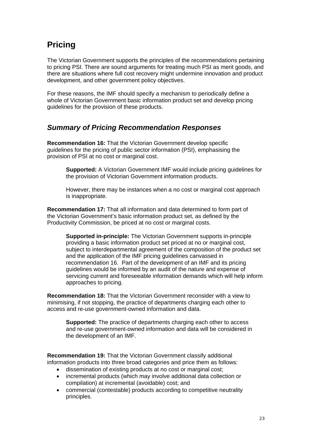## <span id="page-22-0"></span>**Pricing**

The Victorian Government supports the principles of the recommendations pertaining to pricing PSI. There are sound arguments for treating much PSI as merit goods, and there are situations where full cost recovery might undermine innovation and product development, and other government policy objectives.

For these reasons, the IMF should specify a mechanism to periodically define a whole of Victorian Government basic information product set and develop pricing guidelines for the provision of these products.

## *Summary of Pricing Recommendation Responses*

**Recommendation 16:** That the Victorian Government develop specific guidelines for the pricing of public sector information (PSI), emphasising the provision of PSI at no cost or marginal cost.

**Supported:** A Victorian Government IMF would include pricing guidelines for the provision of Victorian Government information products.

However, there may be instances when a no cost or marginal cost approach is inappropriate.

**Recommendation 17:** That all information and data determined to form part of the Victorian Government's basic information product set, as defined by the Productivity Commission, be priced at no cost or marginal costs.

**Supported in-principle:** The Victorian Government supports in-principle providing a basic information product set priced at no or marginal cost, subject to interdepartmental agreement of the composition of the product set and the application of the IMF pricing guidelines canvassed in recommendation 16. Part of the development of an IMF and its pricing guidelines would be informed by an audit of the nature and expense of servicing current and foreseeable information demands which will help inform approaches to pricing.

**Recommendation 18:** That the Victorian Government reconsider with a view to minimising, if not stopping, the practice of departments charging each other to access and re-use government-owned information and data.

**Supported:** The practice of departments charging each other to access and re-use government-owned information and data will be considered in the development of an IMF.

**Recommendation 19:** That the Victorian Government classify additional information products into three broad categories and price them as follows:

- dissemination of existing products at no cost or marginal cost;
- incremental products (which may involve additional data collection or compilation) at incremental (avoidable) cost; and
- commercial (contestable) products according to competitive neutrality principles.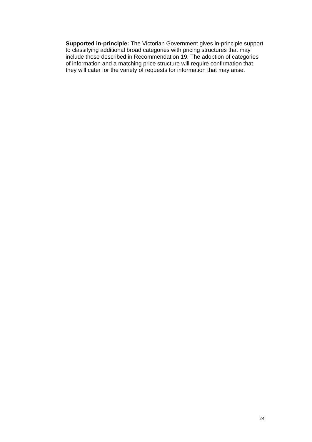**Supported in-principle:** The Victorian Government gives in-principle support to classifying additional broad categories with pricing structures that may include those described in Recommendation 19. The adoption of categories of information and a matching price structure will require confirmation that they will cater for the variety of requests for information that may arise.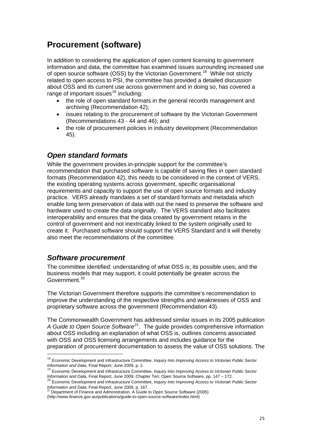## <span id="page-24-0"></span>**Procurement (software)**

In addition to considering the application of open content licensing to government information and data, the committee has examined issues surrounding increased use of open source software (OSS) by the Victorian Government.<sup>[18](#page-24-1)</sup> While not strictly related to open access to PSI, the committee has provided a detailed discussion about OSS and its current use across government and in doing so, has covered a range of important issues $19$  including:

- the role of open standard formats in the general records management and archiving (Recommendation 42);
- issues relating to the procurement of software by the Victorian Government (Recommendations 43 - 44 and 46); and
- the role of procurement policies in industry development (Recommendation 45).

## *Open standard formats*

While the government provides in-principle support for the committee's recommendation that purchased software is capable of saving files in open standard formats (Recommendation 42), this needs to be considered in the context of VERS, the existing operating systems across government, specific organisational requirements and capacity to support the use of open source formats and industry practice. VERS already mandates a set of standard formats and metadata which enable long term preservation of data with out the need to preserve the software and hardware used to create the data originally. The VERS standard also facilitates interoperability and ensures that the data created by government retains in the control of government and not inextricably linked to the system originally used to create it. Purchased software should support the VERS Standard and it will thereby also meet the recommendations of the committee.

### *Software procurement*

1

The committee identified: understanding of what OSS is; its possible uses; and the business models that may support, it could potentially be greater across the Government.<sup>[20](#page-24-3)</sup>

The Victorian Government therefore supports the committee's recommendation to improve the understanding of the respective strengths and weaknesses of OSS and proprietary software across the government (Recommendation 43).

The Commonwealth Government has addressed similar issues in its 2005 publication *A Guide to Open Source Software[21](#page-24-4)*. The guide provides comprehensive information about OSS including an explanation of what OSS is, outlines concerns associated with OSS and OSS licensing arrangements and includes guidance for the preparation of procurement documentation to assess the value of OSS solutions. The

<span id="page-24-1"></span><sup>18</sup> Economic Development and Infrastructure Committee, *Inquiry Into Improving Access to Victorian Public Sector Information and Data*, Final Report, June 2009, p. 2.

<sup>&</sup>lt;sup>19</sup> Economic Development and Infrastructure Committee, *Inquiry Into Improving Access to Victorian Public Sector*<br>*Information and Data*, Final Report, June 2009, Chapter Ten: Open Source Software, pp. 147 – 172.

<span id="page-24-3"></span><span id="page-24-2"></span>*Information and Data*, Final Report, June 2009, Chapter Ten: Open Source Software, pp. 147 – 172. <sup>20</sup> Economic Development and Infrastructure Committee, *Inquiry Into Improving Access to Victorian Public Sector Information and Data*, Final Report, June 2009, p. 167.<br><sup>21</sup> Department of Finance and Administration, A Guide to Open Source Software (2005)

<span id="page-24-4"></span>

<sup>(</sup>http://www.finance.gov.au/publications/guide-to-open-source-software/index.html)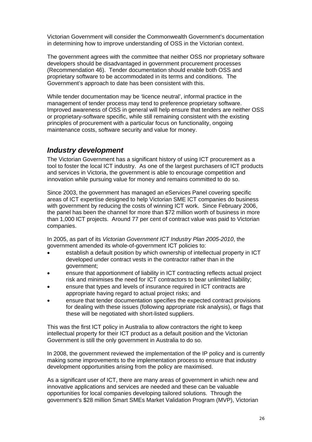<span id="page-25-0"></span>Victorian Government will consider the Commonwealth Government's documentation in determining how to improve understanding of OSS in the Victorian context.

The government agrees with the committee that neither OSS nor proprietary software developers should be disadvantaged in government procurement processes (Recommendation 46). Tender documentation should enable both OSS and proprietary software to be accommodated in its terms and conditions. The Government's approach to date has been consistent with this.

While tender documentation may be 'licence neutral', informal practice in the management of tender process may tend to preference proprietary software. Improved awareness of OSS in general will help ensure that tenders are neither OSS or proprietary-software specific, while still remaining consistent with the existing principles of procurement with a particular focus on functionality, ongoing maintenance costs, software security and value for money.

### *Industry development*

The Victorian Government has a significant history of using ICT procurement as a tool to foster the local ICT industry. As one of the largest purchasers of ICT products and services in Victoria, the government is able to encourage competition and innovation while pursuing value for money and remains committed to do so.

Since 2003, the government has managed an eServices Panel covering specific areas of ICT expertise designed to help Victorian SME ICT companies do business with government by reducing the costs of winning ICT work. Since February 2006, the panel has been the channel for more than \$72 million worth of business in more than 1,000 ICT projects. Around 77 per cent of contract value was paid to Victorian companies.

In 2005, as part of its *Victorian Government ICT Industry Plan 2005-2010*, the government amended its whole-of-government ICT policies to:

- establish a default position by which ownership of intellectual property in ICT developed under contract vests in the contractor rather than in the government;
- ensure that apportionment of liability in ICT contracting reflects actual project risk and minimises the need for ICT contractors to bear unlimited liability;
- ensure that types and levels of insurance required in ICT contracts are appropriate having regard to actual project risks; and
- ensure that tender documentation specifies the expected contract provisions for dealing with these issues (following appropriate risk analysis), or flags that these will be negotiated with short-listed suppliers.

This was the first ICT policy in Australia to allow contractors the right to keep intellectual property for their ICT product as a default position and the Victorian Government is still the only government in Australia to do so.

In 2008, the government reviewed the implementation of the IP policy and is currently making some improvements to the implementation process to ensure that industry development opportunities arising from the policy are maximised.

As a significant user of ICT, there are many areas of government in which new and innovative applications and services are needed and these can be valuable opportunities for local companies developing tailored solutions. Through the government's \$28 million Smart SMEs Market Validation Program (MVP), Victorian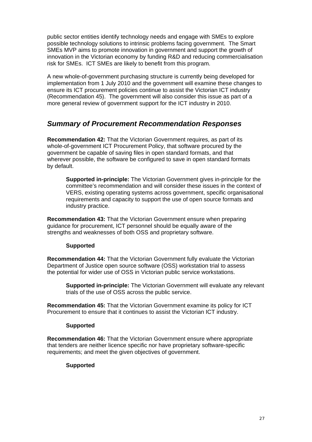<span id="page-26-0"></span>public sector entities identify technology needs and engage with SMEs to explore possible technology solutions to intrinsic problems facing government. The Smart SMEs MVP aims to promote innovation in government and support the growth of innovation in the Victorian economy by funding R&D and reducing commercialisation risk for SMEs. ICT SMEs are likely to benefit from this program.

A new whole-of-government purchasing structure is currently being developed for implementation from 1 July 2010 and the government will examine these changes to ensure its ICT procurement policies continue to assist the Victorian ICT industry (Recommendation 45). The government will also consider this issue as part of a more general review of government support for the ICT industry in 2010.

### *Summary of Procurement Recommendation Responses*

**Recommendation 42:** That the Victorian Government requires, as part of its whole-of-government ICT Procurement Policy, that software procured by the government be capable of saving files in open standard formats, and that wherever possible, the software be configured to save in open standard formats by default.

**Supported in-principle:** The Victorian Government gives in-principle for the committee's recommendation and will consider these issues in the context of VERS, existing operating systems across government, specific organisational requirements and capacity to support the use of open source formats and industry practice.

**Recommendation 43:** That the Victorian Government ensure when preparing guidance for procurement, ICT personnel should be equally aware of the strengths and weaknesses of both OSS and proprietary software.

#### **Supported**

**Recommendation 44:** That the Victorian Government fully evaluate the Victorian Department of Justice open source software (OSS) workstation trial to assess the potential for wider use of OSS in Victorian public service workstations.

**Supported in-principle:** The Victorian Government will evaluate any relevant trials of the use of OSS across the public service.

**Recommendation 45:** That the Victorian Government examine its policy for ICT Procurement to ensure that it continues to assist the Victorian ICT industry.

#### **Supported**

**Recommendation 46:** That the Victorian Government ensure where appropriate that tenders are neither licence specific nor have proprietary software-specific requirements; and meet the given objectives of government.

#### **Supported**